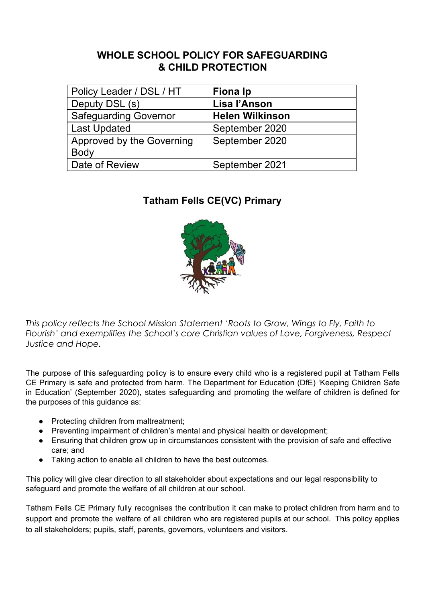## **WHOLE SCHOOL POLICY FOR SAFEGUARDING & CHILD PROTECTION**

| Policy Leader / DSL / HT     | Fiona Ip               |
|------------------------------|------------------------|
| Deputy DSL (s)               | Lisa l'Anson           |
| <b>Safeguarding Governor</b> | <b>Helen Wilkinson</b> |
| <b>Last Updated</b>          | September 2020         |
| Approved by the Governing    | September 2020         |
| <b>Body</b>                  |                        |
| Date of Review               | September 2021         |

## **Tatham Fells CE(VC) Primary**



*This policy reflects the School Mission Statement 'Roots to Grow, Wings to Fly, Faith to Flourish' and exemplifies the School's core Christian values of Love, Forgiveness, Respect Justice and Hope.*

The purpose of this safeguarding policy is to ensure every child who is a registered pupil at Tatham Fells CE Primary is safe and protected from harm. The Department for Education (DfE) 'Keeping Children Safe in Education' (September 2020), states safeguarding and promoting the welfare of children is defined for the purposes of this guidance as:

- Protecting children from maltreatment;
- Preventing impairment of children's mental and physical health or development;
- Ensuring that children grow up in circumstances consistent with the provision of safe and effective care; and
- Taking action to enable all children to have the best outcomes.

This policy will give clear direction to all stakeholder about expectations and our legal responsibility to safeguard and promote the welfare of all children at our school.

Tatham Fells CE Primary fully recognises the contribution it can make to protect children from harm and to support and promote the welfare of all children who are registered pupils at our school. This policy applies to all stakeholders; pupils, staff, parents, governors, volunteers and visitors.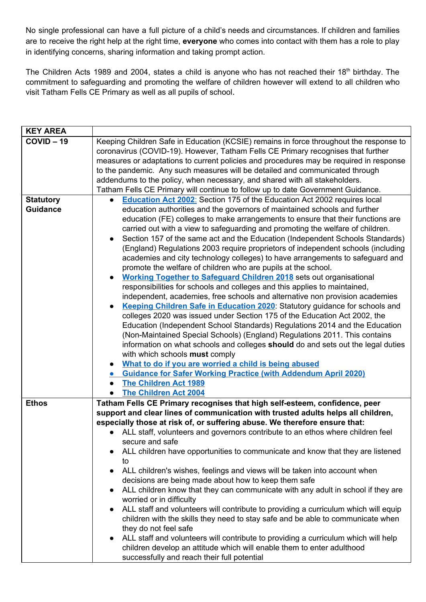No single professional can have a full picture of a child's needs and circumstances. If children and families are to receive the right help at the right time, **everyone** who comes into contact with them has a role to play in identifying concerns, sharing information and taking prompt action.

The Children Acts 1989 and 2004, states a child is anyone who has not reached their 18<sup>th</sup> birthday. The commitment to safeguarding and promoting the welfare of children however will extend to all children who visit Tatham Fells CE Primary as well as all pupils of school.

| <b>KEY AREA</b>  |                                                                                              |
|------------------|----------------------------------------------------------------------------------------------|
| $COVID - 19$     | Keeping Children Safe in Education (KCSIE) remains in force throughout the response to       |
|                  | coronavirus (COVID-19). However, Tatham Fells CE Primary recognises that further             |
|                  | measures or adaptations to current policies and procedures may be required in response       |
|                  | to the pandemic. Any such measures will be detailed and communicated through                 |
|                  | addendums to the policy, when necessary, and shared with all stakeholders.                   |
|                  | Tatham Fells CE Primary will continue to follow up to date Government Guidance.              |
| <b>Statutory</b> | <b>Education Act 2002:</b> Section 175 of the Education Act 2002 requires local<br>$\bullet$ |
| <b>Guidance</b>  | education authorities and the governors of maintained schools and further                    |
|                  | education (FE) colleges to make arrangements to ensure that their functions are              |
|                  | carried out with a view to safeguarding and promoting the welfare of children.               |
|                  | Section 157 of the same act and the Education (Independent Schools Standards)                |
|                  | (England) Regulations 2003 require proprietors of independent schools (including             |
|                  | academies and city technology colleges) to have arrangements to safeguard and                |
|                  | promote the welfare of children who are pupils at the school.                                |
|                  | <b>Working Together to Safeguard Children 2018</b> sets out organisational                   |
|                  | responsibilities for schools and colleges and this applies to maintained,                    |
|                  | independent, academies, free schools and alternative non provision academies                 |
|                  | Keeping Children Safe in Education 2020: Statutory guidance for schools and                  |
|                  | colleges 2020 was issued under Section 175 of the Education Act 2002, the                    |
|                  | Education (Independent School Standards) Regulations 2014 and the Education                  |
|                  | (Non-Maintained Special Schools) (England) Regulations 2011. This contains                   |
|                  | information on what schools and colleges should do and sets out the legal duties             |
|                  | with which schools must comply                                                               |
|                  | What to do if you are worried a child is being abused                                        |
|                  | <b>Guidance for Safer Working Practice (with Addendum April 2020)</b><br>$\bullet$           |
|                  | <b>The Children Act 1989</b>                                                                 |
|                  | <b>The Children Act 2004</b>                                                                 |
| <b>Ethos</b>     | Tatham Fells CE Primary recognises that high self-esteem, confidence, peer                   |
|                  | support and clear lines of communication with trusted adults helps all children,             |
|                  | especially those at risk of, or suffering abuse. We therefore ensure that:                   |
|                  | ALL staff, volunteers and governors contribute to an ethos where children feel               |
|                  | secure and safe                                                                              |
|                  | ALL children have opportunities to communicate and know that they are listened               |
|                  | to                                                                                           |
|                  | ALL children's wishes, feelings and views will be taken into account when                    |
|                  | decisions are being made about how to keep them safe                                         |
|                  | ALL children know that they can communicate with any adult in school if they are             |
|                  | worried or in difficulty                                                                     |
|                  | ALL staff and volunteers will contribute to providing a curriculum which will equip          |
|                  | children with the skills they need to stay safe and be able to communicate when              |
|                  | they do not feel safe                                                                        |
|                  | ALL staff and volunteers will contribute to providing a curriculum which will help           |
|                  | children develop an attitude which will enable them to enter adulthood                       |
|                  | successfully and reach their full potential                                                  |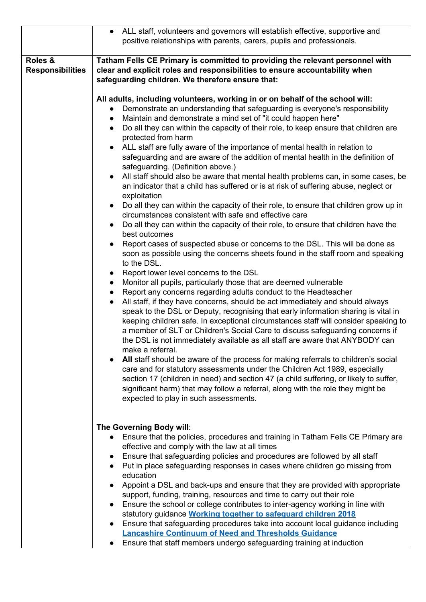|                                    | • ALL staff, volunteers and governors will establish effective, supportive and<br>positive relationships with parents, carers, pupils and professionals.                                                                                                                                                                                                                                                                                                                                                                                                                                                                                                                                                                                                                                                                                                                                                                                                                                                                                                                                                                                                                                                                                                                                                                                                                                                                                                                                                                                                                                                                                                                                                                                                                                                                                                                                                                                                                                                                                                                                                                                                                                                                                                                      |
|------------------------------------|-------------------------------------------------------------------------------------------------------------------------------------------------------------------------------------------------------------------------------------------------------------------------------------------------------------------------------------------------------------------------------------------------------------------------------------------------------------------------------------------------------------------------------------------------------------------------------------------------------------------------------------------------------------------------------------------------------------------------------------------------------------------------------------------------------------------------------------------------------------------------------------------------------------------------------------------------------------------------------------------------------------------------------------------------------------------------------------------------------------------------------------------------------------------------------------------------------------------------------------------------------------------------------------------------------------------------------------------------------------------------------------------------------------------------------------------------------------------------------------------------------------------------------------------------------------------------------------------------------------------------------------------------------------------------------------------------------------------------------------------------------------------------------------------------------------------------------------------------------------------------------------------------------------------------------------------------------------------------------------------------------------------------------------------------------------------------------------------------------------------------------------------------------------------------------------------------------------------------------------------------------------------------------|
| Roles &<br><b>Responsibilities</b> | Tatham Fells CE Primary is committed to providing the relevant personnel with<br>clear and explicit roles and responsibilities to ensure accountability when<br>safeguarding children. We therefore ensure that:                                                                                                                                                                                                                                                                                                                                                                                                                                                                                                                                                                                                                                                                                                                                                                                                                                                                                                                                                                                                                                                                                                                                                                                                                                                                                                                                                                                                                                                                                                                                                                                                                                                                                                                                                                                                                                                                                                                                                                                                                                                              |
|                                    | All adults, including volunteers, working in or on behalf of the school will:<br>Demonstrate an understanding that safeguarding is everyone's responsibility<br>$\bullet$<br>Maintain and demonstrate a mind set of "it could happen here"<br>$\bullet$<br>Do all they can within the capacity of their role, to keep ensure that children are<br>$\bullet$<br>protected from harm<br>ALL staff are fully aware of the importance of mental health in relation to<br>safeguarding and are aware of the addition of mental health in the definition of<br>safeguarding. (Definition above.)<br>All staff should also be aware that mental health problems can, in some cases, be<br>an indicator that a child has suffered or is at risk of suffering abuse, neglect or<br>exploitation<br>Do all they can within the capacity of their role, to ensure that children grow up in<br>circumstances consistent with safe and effective care<br>Do all they can within the capacity of their role, to ensure that children have the<br>best outcomes<br>Report cases of suspected abuse or concerns to the DSL. This will be done as<br>soon as possible using the concerns sheets found in the staff room and speaking<br>to the DSL.<br>Report lower level concerns to the DSL<br>Monitor all pupils, particularly those that are deemed vulnerable<br>$\bullet$<br>Report any concerns regarding adults conduct to the Headteacher<br>All staff, if they have concerns, should be act immediately and should always<br>speak to the DSL or Deputy, recognising that early information sharing is vital in<br>keeping children safe. In exceptional circumstances staff will consider speaking to<br>a member of SLT or Children's Social Care to discuss safeguarding concerns if<br>the DSL is not immediately available as all staff are aware that ANYBODY can<br>make a referral.<br>All staff should be aware of the process for making referrals to children's social<br>care and for statutory assessments under the Children Act 1989, especially<br>section 17 (children in need) and section 47 (a child suffering, or likely to suffer,<br>significant harm) that may follow a referral, along with the role they might be<br>expected to play in such assessments. |
|                                    | The Governing Body will:<br>Ensure that the policies, procedures and training in Tatham Fells CE Primary are<br>$\bullet$<br>effective and comply with the law at all times<br>Ensure that safeguarding policies and procedures are followed by all staff<br>Put in place safeguarding responses in cases where children go missing from<br>education<br>Appoint a DSL and back-ups and ensure that they are provided with appropriate<br>support, funding, training, resources and time to carry out their role<br>Ensure the school or college contributes to inter-agency working in line with<br>statutory guidance <b>Working together to safeguard children 2018</b>                                                                                                                                                                                                                                                                                                                                                                                                                                                                                                                                                                                                                                                                                                                                                                                                                                                                                                                                                                                                                                                                                                                                                                                                                                                                                                                                                                                                                                                                                                                                                                                                    |
|                                    | Ensure that safeguarding procedures take into account local guidance including<br><b>Lancashire Continuum of Need and Thresholds Guidance</b><br>Ensure that staff members undergo safeguarding training at induction                                                                                                                                                                                                                                                                                                                                                                                                                                                                                                                                                                                                                                                                                                                                                                                                                                                                                                                                                                                                                                                                                                                                                                                                                                                                                                                                                                                                                                                                                                                                                                                                                                                                                                                                                                                                                                                                                                                                                                                                                                                         |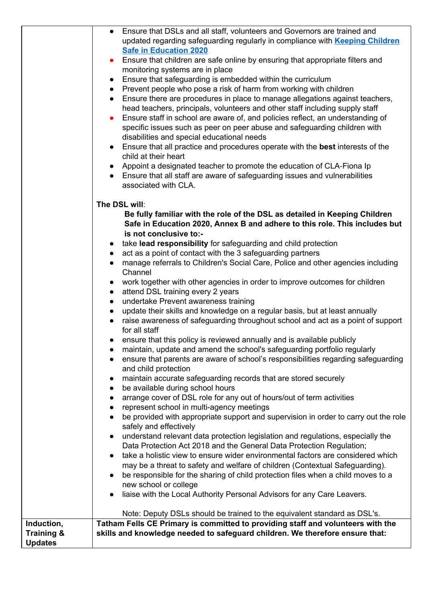|                       | Ensure that DSLs and all staff, volunteers and Governors are trained and<br>$\bullet$          |
|-----------------------|------------------------------------------------------------------------------------------------|
|                       | updated regarding safeguarding regularly in compliance with Keeping Children                   |
|                       | <b>Safe in Education 2020</b>                                                                  |
|                       | Ensure that children are safe online by ensuring that appropriate filters and<br>$\bullet$     |
|                       | monitoring systems are in place                                                                |
|                       | Ensure that safeguarding is embedded within the curriculum<br>$\bullet$                        |
|                       | • Prevent people who pose a risk of harm from working with children                            |
|                       | Ensure there are procedures in place to manage allegations against teachers,<br>$\bullet$      |
|                       | head teachers, principals, volunteers and other staff including supply staff                   |
|                       |                                                                                                |
|                       | Ensure staff in school are aware of, and policies reflect, an understanding of<br>$\bullet$    |
|                       | specific issues such as peer on peer abuse and safeguarding children with                      |
|                       | disabilities and special educational needs                                                     |
|                       | Ensure that all practice and procedures operate with the best interests of the<br>$\bullet$    |
|                       | child at their heart                                                                           |
|                       | • Appoint a designated teacher to promote the education of CLA-Fiona Ip                        |
|                       | • Ensure that all staff are aware of safeguarding issues and vulnerabilities                   |
|                       | associated with CLA.                                                                           |
|                       |                                                                                                |
|                       | The DSL will:                                                                                  |
|                       | Be fully familiar with the role of the DSL as detailed in Keeping Children                     |
|                       | Safe in Education 2020, Annex B and adhere to this role. This includes but                     |
|                       | is not conclusive to:-                                                                         |
|                       | take lead responsibility for safeguarding and child protection<br>$\bullet$                    |
|                       | act as a point of contact with the 3 safeguarding partners<br>$\bullet$                        |
|                       | manage referrals to Children's Social Care, Police and other agencies including<br>$\bullet$   |
|                       | Channel                                                                                        |
|                       | work together with other agencies in order to improve outcomes for children<br>$\bullet$       |
|                       | attend DSL training every 2 years<br>$\bullet$                                                 |
|                       | undertake Prevent awareness training<br>$\bullet$                                              |
|                       | update their skills and knowledge on a regular basis, but at least annually                    |
|                       | $\bullet$<br>• raise awareness of safeguarding throughout school and act as a point of support |
|                       |                                                                                                |
|                       | for all staff                                                                                  |
|                       | • ensure that this policy is reviewed annually and is available publicly                       |
|                       | maintain, update and amend the school's safeguarding portfolio regularly<br>$\bullet$          |
|                       | ensure that parents are aware of school's responsibilities regarding safeguarding              |
|                       | and child protection                                                                           |
|                       | maintain accurate safeguarding records that are stored securely<br>$\bullet$                   |
|                       | be available during school hours<br>$\bullet$                                                  |
|                       | arrange cover of DSL role for any out of hours/out of term activities                          |
|                       | represent school in multi-agency meetings<br>$\bullet$                                         |
|                       | be provided with appropriate support and supervision in order to carry out the role            |
|                       | safely and effectively                                                                         |
|                       | understand relevant data protection legislation and regulations, especially the                |
|                       | Data Protection Act 2018 and the General Data Protection Regulation;                           |
|                       | take a holistic view to ensure wider environmental factors are considered which<br>$\bullet$   |
|                       | may be a threat to safety and welfare of children (Contextual Safeguarding).                   |
|                       | be responsible for the sharing of child protection files when a child moves to a<br>$\bullet$  |
|                       | new school or college                                                                          |
|                       | liaise with the Local Authority Personal Advisors for any Care Leavers.<br>$\bullet$           |
|                       |                                                                                                |
|                       | Note: Deputy DSLs should be trained to the equivalent standard as DSL's.                       |
| Induction,            | Tatham Fells CE Primary is committed to providing staff and volunteers with the                |
| <b>Training &amp;</b> | skills and knowledge needed to safeguard children. We therefore ensure that:                   |
| <b>Updates</b>        |                                                                                                |
|                       |                                                                                                |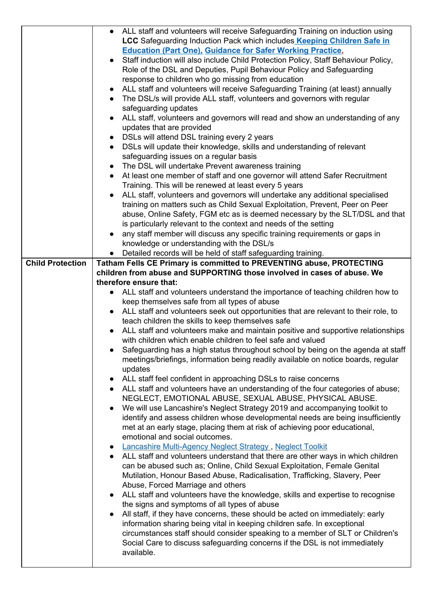|                         | • ALL staff and volunteers will receive Safeguarding Training on induction using            |
|-------------------------|---------------------------------------------------------------------------------------------|
|                         | LCC Safeguarding Induction Pack which includes Keeping Children Safe in                     |
|                         | <b>Education (Part One), Guidance for Safer Working Practice,</b>                           |
|                         | Staff induction will also include Child Protection Policy, Staff Behaviour Policy,          |
|                         | Role of the DSL and Deputies, Pupil Behaviour Policy and Safeguarding                       |
|                         | response to children who go missing from education                                          |
|                         | ALL staff and volunteers will receive Safeguarding Training (at least) annually             |
|                         | • The DSL/s will provide ALL staff, volunteers and governors with regular                   |
|                         | safeguarding updates                                                                        |
|                         | ALL staff, volunteers and governors will read and show an understanding of any              |
|                         | updates that are provided                                                                   |
|                         | DSLs will attend DSL training every 2 years<br>$\bullet$                                    |
|                         | DSLs will update their knowledge, skills and understanding of relevant                      |
|                         | safeguarding issues on a regular basis                                                      |
|                         | The DSL will undertake Prevent awareness training<br>$\bullet$                              |
|                         | At least one member of staff and one governor will attend Safer Recruitment                 |
|                         | Training. This will be renewed at least every 5 years                                       |
|                         | ALL staff, volunteers and governors will undertake any additional specialised               |
|                         | training on matters such as Child Sexual Exploitation, Prevent, Peer on Peer                |
|                         | abuse, Online Safety, FGM etc as is deemed necessary by the SLT/DSL and that                |
|                         | is particularly relevant to the context and needs of the setting                            |
|                         | any staff member will discuss any specific training requirements or gaps in                 |
|                         | knowledge or understanding with the DSL/s                                                   |
|                         | Detailed records will be held of staff safeguarding training.                               |
| <b>Child Protection</b> | Tatham Fells CE Primary is committed to PREVENTING abuse, PROTECTING                        |
|                         | children from abuse and SUPPORTING those involved in cases of abuse. We                     |
|                         | therefore ensure that:                                                                      |
|                         | ALL staff and volunteers understand the importance of teaching children how to<br>$\bullet$ |
|                         | keep themselves safe from all types of abuse                                                |
|                         | ALL staff and volunteers seek out opportunities that are relevant to their role, to         |
|                         | teach children the skills to keep themselves safe                                           |
|                         |                                                                                             |
|                         | ALL staff and volunteers make and maintain positive and supportive relationships            |
|                         | with children which enable children to feel safe and valued                                 |
|                         | Safeguarding has a high status throughout school by being on the agenda at staff            |
|                         | meetings/briefings, information being readily available on notice boards, regular           |
|                         | updates                                                                                     |
|                         | ALL staff feel confident in approaching DSLs to raise concerns<br>$\bullet$                 |
|                         | • ALL staff and volunteers have an understanding of the four categories of abuse;           |
|                         | NEGLECT, EMOTIONAL ABUSE, SEXUAL ABUSE, PHYSICAL ABUSE.                                     |
|                         | We will use Lancashire's Neglect Strategy 2019 and accompanying toolkit to<br>$\bullet$     |
|                         | identify and assess children whose developmental needs are being insufficiently             |
|                         | met at an early stage, placing them at risk of achieving poor educational,                  |
|                         | emotional and social outcomes.                                                              |
|                         | • Lancashire Multi-Agency Neglect Strategy, Neglect Toolkit                                 |
|                         | ALL staff and volunteers understand that there are other ways in which children             |
|                         | can be abused such as; Online, Child Sexual Exploitation, Female Genital                    |
|                         | Mutilation, Honour Based Abuse, Radicalisation, Trafficking, Slavery, Peer                  |
|                         | Abuse, Forced Marriage and others                                                           |
|                         | ALL staff and volunteers have the knowledge, skills and expertise to recognise<br>$\bullet$ |
|                         | the signs and symptoms of all types of abuse                                                |
|                         | All staff, if they have concerns, these should be acted on immediately: early               |
|                         | information sharing being vital in keeping children safe. In exceptional                    |
|                         | circumstances staff should consider speaking to a member of SLT or Children's               |
|                         | Social Care to discuss safeguarding concerns if the DSL is not immediately<br>available.    |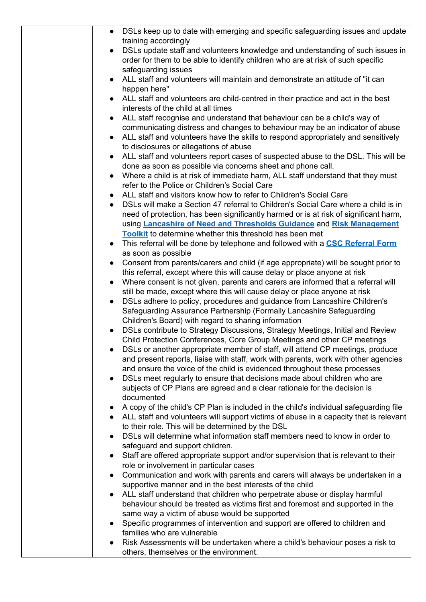| • DSLs keep up to date with emerging and specific safeguarding issues and update                                                                                 |
|------------------------------------------------------------------------------------------------------------------------------------------------------------------|
| training accordingly                                                                                                                                             |
| DSLs update staff and volunteers knowledge and understanding of such issues in<br>$\bullet$                                                                      |
| order for them to be able to identify children who are at risk of such specific                                                                                  |
| safeguarding issues<br>ALL staff and volunteers will maintain and demonstrate an attitude of "it can                                                             |
| $\bullet$<br>happen here"                                                                                                                                        |
| ALL staff and volunteers are child-centred in their practice and act in the best                                                                                 |
| interests of the child at all times                                                                                                                              |
| ALL staff recognise and understand that behaviour can be a child's way of<br>$\bullet$                                                                           |
| communicating distress and changes to behaviour may be an indicator of abuse                                                                                     |
| ALL staff and volunteers have the skills to respond appropriately and sensitively<br>$\bullet$                                                                   |
| to disclosures or allegations of abuse                                                                                                                           |
| ALL staff and volunteers report cases of suspected abuse to the DSL. This will be<br>$\bullet$                                                                   |
| done as soon as possible via concerns sheet and phone call.<br>Where a child is at risk of immediate harm, ALL staff understand that they must<br>$\bullet$      |
| refer to the Police or Children's Social Care                                                                                                                    |
| ALL staff and visitors know how to refer to Children's Social Care<br>$\bullet$                                                                                  |
| DSLs will make a Section 47 referral to Children's Social Care where a child is in<br>$\bullet$                                                                  |
| need of protection, has been significantly harmed or is at risk of significant harm,                                                                             |
| using Lancashire of Need and Thresholds Guidance and Risk Management                                                                                             |
| Toolkit to determine whether this threshold has been met                                                                                                         |
| • This referral will be done by telephone and followed with a CSC Referral Form                                                                                  |
| as soon as possible                                                                                                                                              |
| Consent from parents/carers and child (if age appropriate) will be sought prior to<br>this referral, except where this will cause delay or place anyone at risk  |
| Where consent is not given, parents and carers are informed that a referral will<br>$\bullet$                                                                    |
| still be made, except where this will cause delay or place anyone at risk                                                                                        |
| DSLs adhere to policy, procedures and guidance from Lancashire Children's                                                                                        |
| Safeguarding Assurance Partnership (Formally Lancashire Safeguarding                                                                                             |
| Children's Board) with regard to sharing information                                                                                                             |
| DSLs contribute to Strategy Discussions, Strategy Meetings, Initial and Review<br>$\bullet$                                                                      |
| Child Protection Conferences, Core Group Meetings and other CP meetings                                                                                          |
| DSLs or another appropriate member of staff, will attend CP meetings, produce                                                                                    |
| and present reports, liaise with staff, work with parents, work with other agencies<br>and ensure the voice of the child is evidenced throughout these processes |
| DSLs meet regularly to ensure that decisions made about children who are<br>$\bullet$                                                                            |
| subjects of CP Plans are agreed and a clear rationale for the decision is                                                                                        |
| documented                                                                                                                                                       |
| A copy of the child's CP Plan is included in the child's individual safeguarding file                                                                            |
| • ALL staff and volunteers will support victims of abuse in a capacity that is relevant                                                                          |
| to their role. This will be determined by the DSL                                                                                                                |
| DSLs will determine what information staff members need to know in order to<br>$\bullet$                                                                         |
| safeguard and support children.                                                                                                                                  |
| Staff are offered appropriate support and/or supervision that is relevant to their<br>$\bullet$<br>role or involvement in particular cases                       |
| Communication and work with parents and carers will always be undertaken in a<br>$\bullet$                                                                       |
| supportive manner and in the best interests of the child                                                                                                         |
| ALL staff understand that children who perpetrate abuse or display harmful                                                                                       |
| behaviour should be treated as victims first and foremost and supported in the                                                                                   |
| same way a victim of abuse would be supported                                                                                                                    |
| Specific programmes of intervention and support are offered to children and<br>$\bullet$                                                                         |
| families who are vulnerable                                                                                                                                      |
| Risk Assessments will be undertaken where a child's behaviour poses a risk to<br>$\bullet$<br>others, themselves or the environment.                             |
|                                                                                                                                                                  |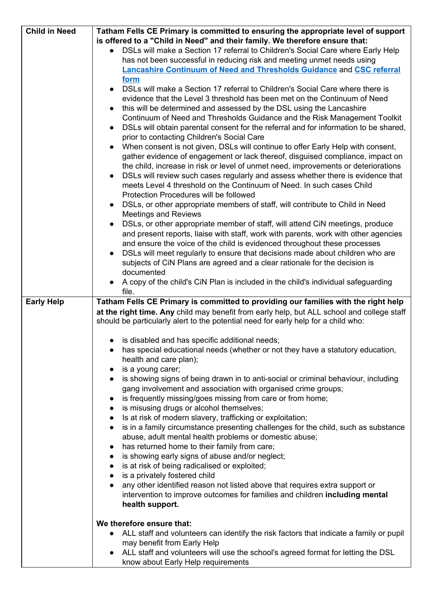| <b>Child in Need</b> | Tatham Fells CE Primary is committed to ensuring the appropriate level of support                 |
|----------------------|---------------------------------------------------------------------------------------------------|
|                      | is offered to a "Child in Need" and their family. We therefore ensure that:                       |
|                      | DSLs will make a Section 17 referral to Children's Social Care where Early Help                   |
|                      | has not been successful in reducing risk and meeting unmet needs using                            |
|                      | <b>Lancashire Continuum of Need and Thresholds Guidance and CSC referral</b>                      |
|                      | form                                                                                              |
|                      | • DSLs will make a Section 17 referral to Children's Social Care where there is                   |
|                      | evidence that the Level 3 threshold has been met on the Continuum of Need                         |
|                      |                                                                                                   |
|                      | this will be determined and assessed by the DSL using the Lancashire<br>$\bullet$                 |
|                      | Continuum of Need and Thresholds Guidance and the Risk Management Toolkit                         |
|                      | DSLs will obtain parental consent for the referral and for information to be shared,<br>$\bullet$ |
|                      | prior to contacting Children's Social Care                                                        |
|                      | When consent is not given, DSLs will continue to offer Early Help with consent,<br>$\bullet$      |
|                      | gather evidence of engagement or lack thereof, disguised compliance, impact on                    |
|                      | the child, increase in risk or level of unmet need, improvements or deteriorations                |
|                      | DSLs will review such cases regularly and assess whether there is evidence that<br>$\bullet$      |
|                      | meets Level 4 threshold on the Continuum of Need. In such cases Child                             |
|                      | Protection Procedures will be followed                                                            |
|                      | DSLs, or other appropriate members of staff, will contribute to Child in Need<br>$\bullet$        |
|                      | <b>Meetings and Reviews</b>                                                                       |
|                      | DSLs, or other appropriate member of staff, will attend CiN meetings, produce<br>$\bullet$        |
|                      | and present reports, liaise with staff, work with parents, work with other agencies               |
|                      |                                                                                                   |
|                      | and ensure the voice of the child is evidenced throughout these processes                         |
|                      | DSLs will meet regularly to ensure that decisions made about children who are<br>$\bullet$        |
|                      | subjects of CiN Plans are agreed and a clear rationale for the decision is                        |
|                      | documented                                                                                        |
|                      | A copy of the child's CiN Plan is included in the child's individual safeguarding                 |
|                      | file.                                                                                             |
|                      |                                                                                                   |
| <b>Early Help</b>    | Tatham Fells CE Primary is committed to providing our families with the right help                |
|                      | at the right time. Any child may benefit from early help, but ALL school and college staff        |
|                      | should be particularly alert to the potential need for early help for a child who:                |
|                      |                                                                                                   |
|                      | • is disabled and has specific additional needs;                                                  |
|                      | has special educational needs (whether or not they have a statutory education,                    |
|                      | health and care plan);                                                                            |
|                      | $\bullet$                                                                                         |
|                      | is a young carer;<br>$\bullet$                                                                    |
|                      | is showing signs of being drawn in to anti-social or criminal behaviour, including                |
|                      | gang involvement and association with organised crime groups;                                     |
|                      | is frequently missing/goes missing from care or from home;<br>$\bullet$                           |
|                      | is misusing drugs or alcohol themselves;<br>$\bullet$                                             |
|                      | Is at risk of modern slavery, trafficking or exploitation;<br>$\bullet$                           |
|                      | is in a family circumstance presenting challenges for the child, such as substance<br>$\bullet$   |
|                      | abuse, adult mental health problems or domestic abuse;                                            |
|                      | has returned home to their family from care;<br>$\bullet$                                         |
|                      | is showing early signs of abuse and/or neglect;<br>$\bullet$                                      |
|                      | is at risk of being radicalised or exploited;                                                     |
|                      | is a privately fostered child                                                                     |
|                      | any other identified reason not listed above that requires extra support or<br>$\bullet$          |
|                      | intervention to improve outcomes for families and children including mental                       |
|                      | health support.                                                                                   |
|                      |                                                                                                   |
|                      | We therefore ensure that:                                                                         |
|                      | • ALL staff and volunteers can identify the risk factors that indicate a family or pupil          |
|                      | may benefit from Early Help                                                                       |
|                      | ALL staff and volunteers will use the school's agreed format for letting the DSL                  |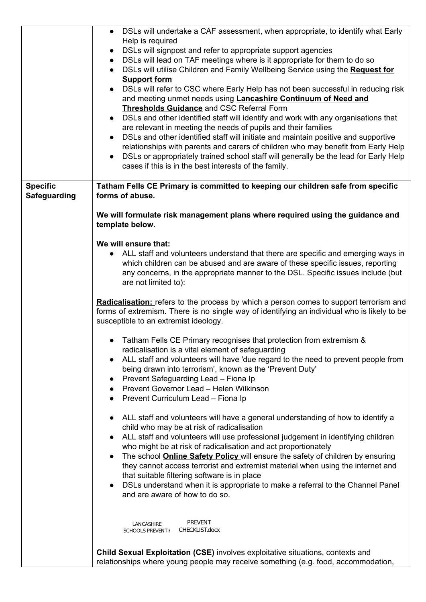|                     | DSLs will undertake a CAF assessment, when appropriate, to identify what Early                |
|---------------------|-----------------------------------------------------------------------------------------------|
|                     | Help is required                                                                              |
|                     | DSLs will signpost and refer to appropriate support agencies                                  |
|                     | • DSLs will lead on TAF meetings where is it appropriate for them to do so                    |
|                     | • DSLs will utilise Children and Family Wellbeing Service using the Request for               |
|                     | <b>Support form</b>                                                                           |
|                     | • DSLs will refer to CSC where Early Help has not been successful in reducing risk            |
|                     | and meeting unmet needs using <b>Lancashire Continuum of Need and</b>                         |
|                     | <b>Thresholds Guidance and CSC Referral Form</b>                                              |
|                     | • DSLs and other identified staff will identify and work with any organisations that          |
|                     | are relevant in meeting the needs of pupils and their families                                |
|                     | DSLs and other identified staff will initiate and maintain positive and supportive            |
|                     | relationships with parents and carers of children who may benefit from Early Help             |
|                     | DSLs or appropriately trained school staff will generally be the lead for Early Help          |
|                     | cases if this is in the best interests of the family.                                         |
|                     |                                                                                               |
| <b>Specific</b>     | Tatham Fells CE Primary is committed to keeping our children safe from specific               |
| <b>Safeguarding</b> | forms of abuse.                                                                               |
|                     |                                                                                               |
|                     | We will formulate risk management plans where required using the guidance and                 |
|                     | template below.                                                                               |
|                     | We will ensure that:                                                                          |
|                     | • ALL staff and volunteers understand that there are specific and emerging ways in            |
|                     | which children can be abused and are aware of these specific issues, reporting                |
|                     | any concerns, in the appropriate manner to the DSL. Specific issues include (but              |
|                     | are not limited to):                                                                          |
|                     |                                                                                               |
|                     | <b>Radicalisation:</b> refers to the process by which a person comes to support terrorism and |
|                     | forms of extremism. There is no single way of identifying an individual who is likely to be   |
|                     | susceptible to an extremist ideology.                                                         |
|                     |                                                                                               |
|                     | • Tatham Fells CE Primary recognises that protection from extremism &                         |
|                     | radicalisation is a vital element of safeguarding                                             |
|                     | ALL staff and volunteers will have 'due regard to the need to prevent people from             |
|                     | being drawn into terrorism', known as the 'Prevent Duty'                                      |
|                     | Prevent Safeguarding Lead - Fiona Ip                                                          |
|                     | Prevent Governor Lead - Helen Wilkinson                                                       |
|                     | Prevent Curriculum Lead - Fiona Ip                                                            |
|                     |                                                                                               |
|                     | ALL staff and volunteers will have a general understanding of how to identify a               |
|                     | child who may be at risk of radicalisation                                                    |
|                     | ALL staff and volunteers will use professional judgement in identifying children              |
|                     | who might be at risk of radicalisation and act proportionately                                |
|                     | The school <b>Online Safety Policy</b> will ensure the safety of children by ensuring         |
|                     | they cannot access terrorist and extremist material when using the internet and               |
|                     | that suitable filtering software is in place                                                  |
|                     | DSLs understand when it is appropriate to make a referral to the Channel Panel                |
|                     | and are aware of how to do so.                                                                |
|                     |                                                                                               |
|                     | <b>PREVENT</b><br>LANCASHIRE                                                                  |
|                     | CHECKLIST.docx<br>SCHOOLS PREVENT H                                                           |
|                     |                                                                                               |
|                     | <b>Child Sexual Exploitation (CSE)</b> involves exploitative situations, contexts and         |

relationships where young people may receive something (e.g. food, accommodation,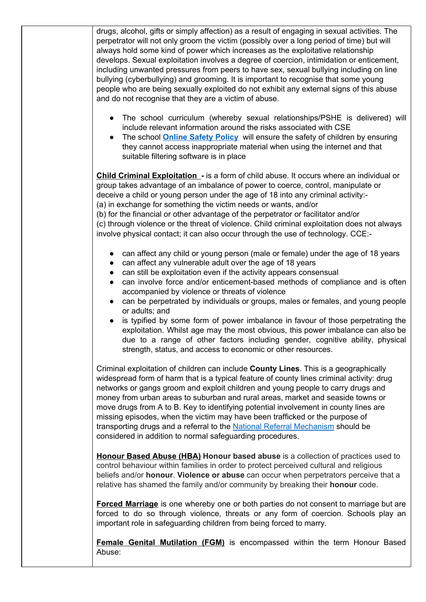drugs, alcohol, gifts or simply affection) as a result of engaging in sexual activities. The perpetrator will not only groom the victim (possibly over a long period of time) but will always hold some kind of power which increases as the exploitative relationship develops. Sexual exploitation involves a degree of coercion, intimidation or enticement, including unwanted pressures from peers to have sex, sexual bullying including on line bullying (cyberbullying) and grooming. It is important to recognise that some young people who are being sexually exploited do not exhibit any external signs of this abuse and do not recognise that they are a victim of abuse.

- **●** The school curriculum (whereby sexual relationships/PSHE is delivered) will include relevant information around the risks associated with CSE
- The school **[Online](http://www.lancsngfl.ac.uk/onlinesafety/index.php?category_id=13) Safety Policy** will ensure the safety of children by ensuring they cannot access inappropriate material when using the internet and that suitable filtering software is in place

**Child Criminal Exploitation -** is a form of child abuse. It occurs where an individual or group takes advantage of an imbalance of power to coerce, control, manipulate or deceive a child or young person under the age of 18 into any criminal activity:- (a) in exchange for something the victim needs or wants, and/or

(b) for the financial or other advantage of the perpetrator or facilitator and/or (c) through violence or the threat of violence. Child criminal exploitation does not always involve physical contact; it can also occur through the use of technology. CCE:-

- can affect any child or young person (male or female) under the age of 18 years
- can affect any vulnerable adult over the age of 18 years
- can still be exploitation even if the activity appears consensual
- can involve force and/or enticement-based methods of compliance and is often accompanied by violence or threats of violence
- can be perpetrated by individuals or groups, males or females, and young people or adults; and
- is typified by some form of power imbalance in favour of those perpetrating the exploitation. Whilst age may the most obvious, this power imbalance can also be due to a range of other factors including gender, cognitive ability, physical strength, status, and access to economic or other resources.

Criminal exploitation of children can include **County Lines**. This is a geographically widespread form of harm that is a typical feature of county lines criminal activity: drug networks or gangs groom and exploit children and young people to carry drugs and money from urban areas to suburban and rural areas, market and seaside towns or move drugs from A to B. Key to identifying potential involvement in county lines are missing episodes, when the victim may have been trafficked or the purpose of transporting drugs and a referral to the National Referral [Mechanism](https://www.gov.uk/government/publications/human-trafficking-victims-referral-and-assessment-forms/guidance-on-the-national-referral-mechanism-for-potential-adult-victims-of-modern-slavery-england-and-wales#what-the-national-referral-mechanism-is) should be considered in addition to normal safeguarding procedures.

**Honour Based Abuse (HBA) Honour based abuse** is a collection of practices used to control behaviour within families in order to protect perceived cultural and religious beliefs and/or **honour**. **Violence or abuse** can occur when perpetrators perceive that a relative has shamed the family and/or community by breaking their **honour** code.

**Forced Marriage** is one whereby one or both parties do not consent to marriage but are forced to do so through violence, threats or any form of coercion. Schools play an important role in safeguarding children from being forced to marry.

**Female Genital Mutilation (FGM)** is encompassed within the term Honour Based Abuse: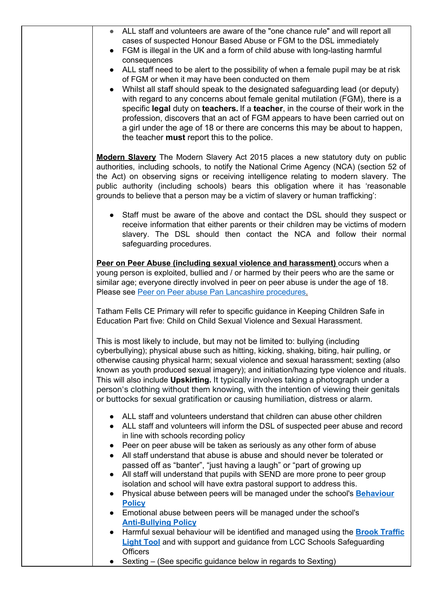| ALL staff and volunteers are aware of the "one chance rule" and will report all<br>cases of suspected Honour Based Abuse or FGM to the DSL immediately<br>FGM is illegal in the UK and a form of child abuse with long-lasting harmful<br>$\bullet$                                                                                                                                                                                                                                                                                                                                                                                          |
|----------------------------------------------------------------------------------------------------------------------------------------------------------------------------------------------------------------------------------------------------------------------------------------------------------------------------------------------------------------------------------------------------------------------------------------------------------------------------------------------------------------------------------------------------------------------------------------------------------------------------------------------|
| consequences                                                                                                                                                                                                                                                                                                                                                                                                                                                                                                                                                                                                                                 |
| ALL staff need to be alert to the possibility of when a female pupil may be at risk<br>$\bullet$<br>of FGM or when it may have been conducted on them<br>Whilst all staff should speak to the designated safeguarding lead (or deputy)<br>$\bullet$                                                                                                                                                                                                                                                                                                                                                                                          |
| with regard to any concerns about female genital mutilation (FGM), there is a<br>specific legal duty on teachers. If a teacher, in the course of their work in the<br>profession, discovers that an act of FGM appears to have been carried out on<br>a girl under the age of 18 or there are concerns this may be about to happen,<br>the teacher must report this to the police.                                                                                                                                                                                                                                                           |
| Modern Slavery The Modern Slavery Act 2015 places a new statutory duty on public<br>authorities, including schools, to notify the National Crime Agency (NCA) (section 52 of<br>the Act) on observing signs or receiving intelligence relating to modern slavery. The<br>public authority (including schools) bears this obligation where it has 'reasonable<br>grounds to believe that a person may be a victim of slavery or human trafficking':                                                                                                                                                                                           |
| • Staff must be aware of the above and contact the DSL should they suspect or<br>receive information that either parents or their children may be victims of modern<br>slavery. The DSL should then contact the NCA and follow their normal<br>safeguarding procedures.                                                                                                                                                                                                                                                                                                                                                                      |
| Peer on Peer Abuse (including sexual violence and harassment) occurs when a<br>young person is exploited, bullied and / or harmed by their peers who are the same or<br>similar age; everyone directly involved in peer on peer abuse is under the age of 18.<br>Please see Peer on Peer abuse Pan Lancashire procedures.                                                                                                                                                                                                                                                                                                                    |
| Tatham Fells CE Primary will refer to specific guidance in Keeping Children Safe in<br>Education Part five: Child on Child Sexual Violence and Sexual Harassment.                                                                                                                                                                                                                                                                                                                                                                                                                                                                            |
| This is most likely to include, but may not be limited to: bullying (including<br>cyberbullying); physical abuse such as hitting, kicking, shaking, biting, hair pulling, or<br>otherwise causing physical harm; sexual violence and sexual harassment; sexting (also<br>known as youth produced sexual imagery); and initiation/hazing type violence and rituals.<br>This will also include <b>Upskirting.</b> It typically involves taking a photograph under a<br>person's clothing without them knowing, with the intention of viewing their genitals<br>or buttocks for sexual gratification or causing humiliation, distress or alarm. |
| • ALL staff and volunteers understand that children can abuse other children<br>ALL staff and volunteers will inform the DSL of suspected peer abuse and record<br>$\bullet$<br>in line with schools recording policy                                                                                                                                                                                                                                                                                                                                                                                                                        |
| Peer on peer abuse will be taken as seriously as any other form of abuse<br>$\bullet$<br>All staff understand that abuse is abuse and should never be tolerated or<br>$\bullet$                                                                                                                                                                                                                                                                                                                                                                                                                                                              |
| passed off as "banter", "just having a laugh" or "part of growing up                                                                                                                                                                                                                                                                                                                                                                                                                                                                                                                                                                         |
| All staff will understand that pupils with SEND are more prone to peer group<br>$\bullet$                                                                                                                                                                                                                                                                                                                                                                                                                                                                                                                                                    |
| isolation and school will have extra pastoral support to address this.<br>Physical abuse between peers will be managed under the school's Behaviour                                                                                                                                                                                                                                                                                                                                                                                                                                                                                          |
| $\bullet$<br><b>Policy</b>                                                                                                                                                                                                                                                                                                                                                                                                                                                                                                                                                                                                                   |
| Emotional abuse between peers will be managed under the school's<br>$\bullet$                                                                                                                                                                                                                                                                                                                                                                                                                                                                                                                                                                |
| <b>Anti-Bullying Policy</b><br>Harmful sexual behaviour will be identified and managed using the <b>Brook Traffic</b><br>$\bullet$                                                                                                                                                                                                                                                                                                                                                                                                                                                                                                           |
| <b>Light Tool</b> and with support and guidance from LCC Schools Safeguarding<br><b>Officers</b>                                                                                                                                                                                                                                                                                                                                                                                                                                                                                                                                             |
| Sexting – (See specific guidance below in regards to Sexting)                                                                                                                                                                                                                                                                                                                                                                                                                                                                                                                                                                                |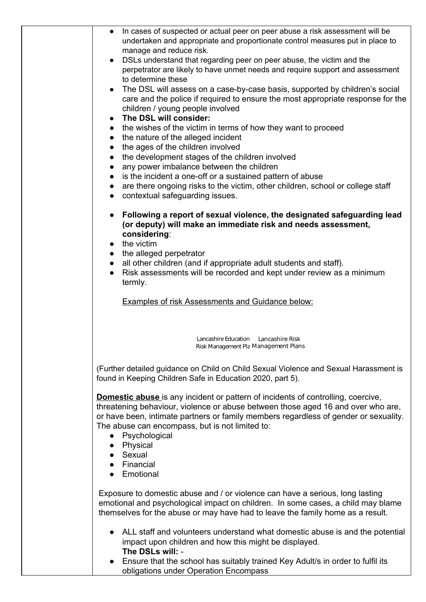| $\bullet$              | In cases of suspected or actual peer on peer abuse a risk assessment will be                                                                                         |
|------------------------|----------------------------------------------------------------------------------------------------------------------------------------------------------------------|
|                        | undertaken and appropriate and proportionate control measures put in place to                                                                                        |
|                        | manage and reduce risk.                                                                                                                                              |
|                        | DSLs understand that regarding peer on peer abuse, the victim and the                                                                                                |
|                        | perpetrator are likely to have unmet needs and require support and assessment<br>to determine these                                                                  |
| $\bullet$              | The DSL will assess on a case-by-case basis, supported by children's social                                                                                          |
|                        | care and the police if required to ensure the most appropriate response for the                                                                                      |
|                        | children / young people involved                                                                                                                                     |
| $\bullet$              | The DSL will consider:                                                                                                                                               |
| $\bullet$              | the wishes of the victim in terms of how they want to proceed                                                                                                        |
| $\bullet$              | the nature of the alleged incident                                                                                                                                   |
| $\bullet$              | the ages of the children involved                                                                                                                                    |
| $\bullet$              | the development stages of the children involved                                                                                                                      |
| $\bullet$<br>$\bullet$ | any power imbalance between the children<br>is the incident a one-off or a sustained pattern of abuse                                                                |
| $\bullet$              | are there ongoing risks to the victim, other children, school or college staff                                                                                       |
| $\bullet$              | contextual safeguarding issues.                                                                                                                                      |
|                        |                                                                                                                                                                      |
| $\bullet$              | Following a report of sexual violence, the designated safeguarding lead<br>(or deputy) will make an immediate risk and needs assessment,<br>considering:             |
| $\bullet$              | the victim                                                                                                                                                           |
| $\bullet$              | the alleged perpetrator                                                                                                                                              |
| $\bullet$              | all other children (and if appropriate adult students and staff).                                                                                                    |
| $\bullet$              | Risk assessments will be recorded and kept under review as a minimum                                                                                                 |
|                        | termly.                                                                                                                                                              |
|                        | <b>Examples of risk Assessments and Guidance below:</b>                                                                                                              |
|                        |                                                                                                                                                                      |
|                        |                                                                                                                                                                      |
|                        |                                                                                                                                                                      |
|                        | Lancashire Education Lancashire Risk<br>Risk Management Pla Management Plans                                                                                         |
|                        |                                                                                                                                                                      |
|                        | (Further detailed guidance on Child on Child Sexual Violence and Sexual Harassment is                                                                                |
|                        | found in Keeping Children Safe in Education 2020, part 5).                                                                                                           |
|                        | Domestic abuse is any incident or pattern of incidents of controlling, coercive,<br>threatening behaviour, violence or abuse between those aged 16 and over who are, |
|                        | or have been, intimate partners or family members regardless of gender or sexuality.                                                                                 |
|                        | The abuse can encompass, but is not limited to:                                                                                                                      |
|                        | Psychological                                                                                                                                                        |
|                        | • Physical                                                                                                                                                           |
|                        | Sexual                                                                                                                                                               |
|                        | • Financial<br>• Emotional                                                                                                                                           |
|                        |                                                                                                                                                                      |
|                        | Exposure to domestic abuse and / or violence can have a serious, long lasting                                                                                        |
|                        | emotional and psychological impact on children. In some cases, a child may blame                                                                                     |
|                        | themselves for the abuse or may have had to leave the family home as a result.                                                                                       |
|                        |                                                                                                                                                                      |
|                        | ALL staff and volunteers understand what domestic abuse is and the potential                                                                                         |
|                        | impact upon children and how this might be displayed.<br>The DSLs will: -                                                                                            |
|                        | Ensure that the school has suitably trained Key Adult/s in order to fulfil its                                                                                       |
|                        |                                                                                                                                                                      |

obligations under Operation Encompass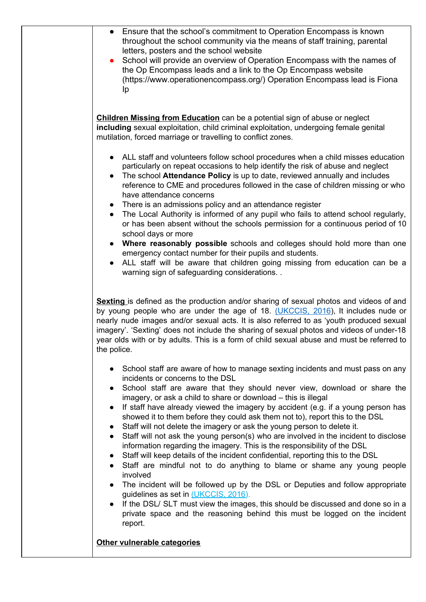| $\bullet$<br>$\bullet$              | Ensure that the school's commitment to Operation Encompass is known<br>throughout the school community via the means of staff training, parental<br>letters, posters and the school website<br>School will provide an overview of Operation Encompass with the names of                                                                                                                                                                                        |
|-------------------------------------|----------------------------------------------------------------------------------------------------------------------------------------------------------------------------------------------------------------------------------------------------------------------------------------------------------------------------------------------------------------------------------------------------------------------------------------------------------------|
|                                     | the Op Encompass leads and a link to the Op Encompass website<br>(https://www.operationencompass.org/) Operation Encompass lead is Fiona<br>Ip                                                                                                                                                                                                                                                                                                                 |
|                                     | <b>Children Missing from Education</b> can be a potential sign of abuse or neglect<br>including sexual exploitation, child criminal exploitation, undergoing female genital<br>mutilation, forced marriage or travelling to conflict zones.                                                                                                                                                                                                                    |
| $\bullet$<br>$\bullet$              | ALL staff and volunteers follow school procedures when a child misses education<br>particularly on repeat occasions to help identify the risk of abuse and neglect<br>The school Attendance Policy is up to date, reviewed annually and includes<br>reference to CME and procedures followed in the case of children missing or who<br>have attendance concerns                                                                                                |
| $\bullet$<br>$\bullet$              | There is an admissions policy and an attendance register<br>The Local Authority is informed of any pupil who fails to attend school regularly,<br>or has been absent without the schools permission for a continuous period of 10<br>school days or more                                                                                                                                                                                                       |
| $\bullet$<br>$\bullet$              | Where reasonably possible schools and colleges should hold more than one<br>emergency contact number for their pupils and students.<br>ALL staff will be aware that children going missing from education can be a<br>warning sign of safeguarding considerations                                                                                                                                                                                              |
| the police.                         | Sexting is defined as the production and/or sharing of sexual photos and videos of and<br>by young people who are under the age of 18. (UKCCIS, 2016), It includes nude or<br>nearly nude images and/or sexual acts. It is also referred to as 'youth produced sexual<br>imagery'. 'Sexting' does not include the sharing of sexual photos and videos of under-18<br>year olds with or by adults. This is a form of child sexual abuse and must be referred to |
| $\bullet$<br>$\bullet$              | School staff are aware of how to manage sexting incidents and must pass on any<br>incidents or concerns to the DSL<br>School staff are aware that they should never view, download or share the                                                                                                                                                                                                                                                                |
| $\bullet$<br>$\bullet$              | imagery, or ask a child to share or download - this is illegal<br>If staff have already viewed the imagery by accident (e.g. if a young person has<br>showed it to them before they could ask them not to), report this to the DSL<br>Staff will not delete the imagery or ask the young person to delete it.                                                                                                                                                  |
| $\bullet$<br>$\bullet$<br>$\bullet$ | Staff will not ask the young person(s) who are involved in the incident to disclose<br>information regarding the imagery. This is the responsibility of the DSL<br>Staff will keep details of the incident confidential, reporting this to the DSL<br>Staff are mindful not to do anything to blame or shame any young people<br>involved                                                                                                                      |
| $\bullet$<br>$\bullet$              | The incident will be followed up by the DSL or Deputies and follow appropriate<br>guidelines as set in (UKCCIS, 2016).<br>If the DSL/ SLT must view the images, this should be discussed and done so in a<br>private space and the reasoning behind this must be logged on the incident                                                                                                                                                                        |
|                                     | report.                                                                                                                                                                                                                                                                                                                                                                                                                                                        |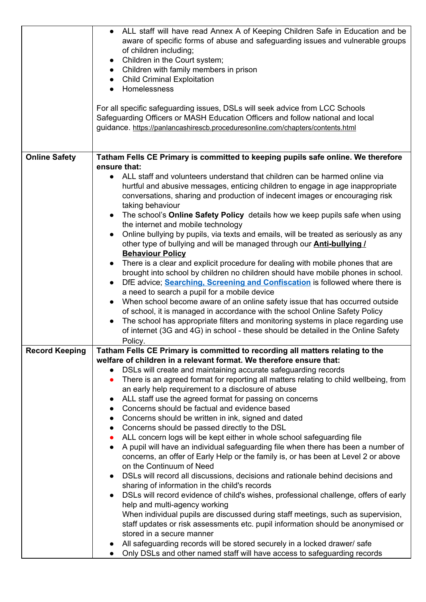|                       | • ALL staff will have read Annex A of Keeping Children Safe in Education and be<br>aware of specific forms of abuse and safeguarding issues and vulnerable groups<br>of children including;<br>Children in the Court system;<br>$\bullet$<br>• Children with family members in prison<br>• Child Criminal Exploitation<br>Homelessness<br>For all specific safeguarding issues, DSLs will seek advice from LCC Schools<br>Safeguarding Officers or MASH Education Officers and follow national and local<br>guidance. https://panlancashirescb.proceduresonline.com/chapters/contents.html |
|-----------------------|--------------------------------------------------------------------------------------------------------------------------------------------------------------------------------------------------------------------------------------------------------------------------------------------------------------------------------------------------------------------------------------------------------------------------------------------------------------------------------------------------------------------------------------------------------------------------------------------|
| <b>Online Safety</b>  | Tatham Fells CE Primary is committed to keeping pupils safe online. We therefore                                                                                                                                                                                                                                                                                                                                                                                                                                                                                                           |
|                       | ensure that:                                                                                                                                                                                                                                                                                                                                                                                                                                                                                                                                                                               |
|                       | • ALL staff and volunteers understand that children can be harmed online via<br>hurtful and abusive messages, enticing children to engage in age inappropriate<br>conversations, sharing and production of indecent images or encouraging risk<br>taking behaviour                                                                                                                                                                                                                                                                                                                         |
|                       | • The school's Online Safety Policy details how we keep pupils safe when using<br>the internet and mobile technology                                                                                                                                                                                                                                                                                                                                                                                                                                                                       |
|                       | Online bullying by pupils, via texts and emails, will be treated as seriously as any                                                                                                                                                                                                                                                                                                                                                                                                                                                                                                       |
|                       | other type of bullying and will be managed through our <b>Anti-bullying /</b>                                                                                                                                                                                                                                                                                                                                                                                                                                                                                                              |
|                       | <b>Behaviour Policy</b>                                                                                                                                                                                                                                                                                                                                                                                                                                                                                                                                                                    |
|                       | • There is a clear and explicit procedure for dealing with mobile phones that are<br>brought into school by children no children should have mobile phones in school.                                                                                                                                                                                                                                                                                                                                                                                                                      |
|                       | DfE advice; Searching, Screening and Confiscation is followed where there is<br>$\bullet$                                                                                                                                                                                                                                                                                                                                                                                                                                                                                                  |
|                       | a need to search a pupil for a mobile device<br>When school become aware of an online safety issue that has occurred outside<br>$\bullet$                                                                                                                                                                                                                                                                                                                                                                                                                                                  |
|                       | of school, it is managed in accordance with the school Online Safety Policy                                                                                                                                                                                                                                                                                                                                                                                                                                                                                                                |
|                       | The school has appropriate filters and monitoring systems in place regarding use<br>$\bullet$                                                                                                                                                                                                                                                                                                                                                                                                                                                                                              |
|                       | of internet (3G and 4G) in school - these should be detailed in the Online Safety                                                                                                                                                                                                                                                                                                                                                                                                                                                                                                          |
|                       | Policy.                                                                                                                                                                                                                                                                                                                                                                                                                                                                                                                                                                                    |
| <b>Record Keeping</b> | Tatham Fells CE Primary is committed to recording all matters relating to the<br>welfare of children in a relevant format. We therefore ensure that:                                                                                                                                                                                                                                                                                                                                                                                                                                       |
|                       | DSLs will create and maintaining accurate safeguarding records<br>$\bullet$                                                                                                                                                                                                                                                                                                                                                                                                                                                                                                                |
|                       | There is an agreed format for reporting all matters relating to child wellbeing, from<br>$\bullet$                                                                                                                                                                                                                                                                                                                                                                                                                                                                                         |
|                       | an early help requirement to a disclosure of abuse                                                                                                                                                                                                                                                                                                                                                                                                                                                                                                                                         |
|                       | ALL staff use the agreed format for passing on concerns<br>$\bullet$                                                                                                                                                                                                                                                                                                                                                                                                                                                                                                                       |
|                       | Concerns should be factual and evidence based<br>$\bullet$<br>Concerns should be written in ink, signed and dated<br>$\bullet$                                                                                                                                                                                                                                                                                                                                                                                                                                                             |
|                       | Concerns should be passed directly to the DSL<br>$\bullet$                                                                                                                                                                                                                                                                                                                                                                                                                                                                                                                                 |
|                       | ALL concern logs will be kept either in whole school safeguarding file<br>$\bullet$                                                                                                                                                                                                                                                                                                                                                                                                                                                                                                        |
|                       | A pupil will have an individual safeguarding file when there has been a number of<br>$\bullet$                                                                                                                                                                                                                                                                                                                                                                                                                                                                                             |
|                       | concerns, an offer of Early Help or the family is, or has been at Level 2 or above                                                                                                                                                                                                                                                                                                                                                                                                                                                                                                         |
|                       | on the Continuum of Need                                                                                                                                                                                                                                                                                                                                                                                                                                                                                                                                                                   |
|                       | DSLs will record all discussions, decisions and rationale behind decisions and<br>$\bullet$<br>sharing of information in the child's records                                                                                                                                                                                                                                                                                                                                                                                                                                               |
|                       | DSLs will record evidence of child's wishes, professional challenge, offers of early<br>$\bullet$                                                                                                                                                                                                                                                                                                                                                                                                                                                                                          |
|                       | help and multi-agency working                                                                                                                                                                                                                                                                                                                                                                                                                                                                                                                                                              |
|                       | When individual pupils are discussed during staff meetings, such as supervision,                                                                                                                                                                                                                                                                                                                                                                                                                                                                                                           |
|                       | staff updates or risk assessments etc. pupil information should be anonymised or                                                                                                                                                                                                                                                                                                                                                                                                                                                                                                           |
|                       | stored in a secure manner<br>All safeguarding records will be stored securely in a locked drawer/ safe                                                                                                                                                                                                                                                                                                                                                                                                                                                                                     |
|                       | Only DSLs and other named staff will have access to safeguarding records<br>$\bullet$                                                                                                                                                                                                                                                                                                                                                                                                                                                                                                      |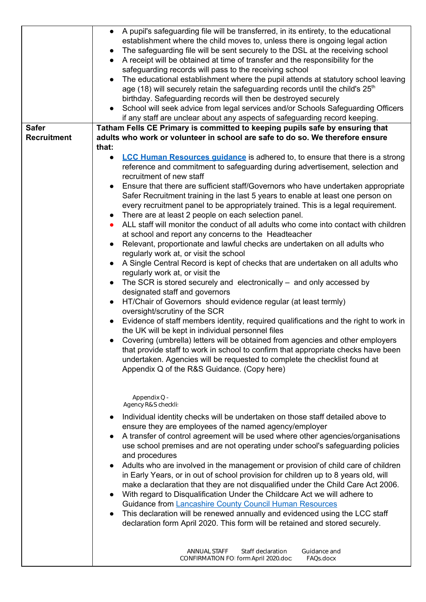|                    | • A pupil's safeguarding file will be transferred, in its entirety, to the educational<br>establishment where the child moves to, unless there is ongoing legal action<br>The safeguarding file will be sent securely to the DSL at the receiving school<br>$\bullet$<br>A receipt will be obtained at time of transfer and the responsibility for the<br>$\bullet$<br>safeguarding records will pass to the receiving school |  |  |  |
|--------------------|-------------------------------------------------------------------------------------------------------------------------------------------------------------------------------------------------------------------------------------------------------------------------------------------------------------------------------------------------------------------------------------------------------------------------------|--|--|--|
|                    | The educational establishment where the pupil attends at statutory school leaving                                                                                                                                                                                                                                                                                                                                             |  |  |  |
|                    | age (18) will securely retain the safeguarding records until the child's $25th$                                                                                                                                                                                                                                                                                                                                               |  |  |  |
|                    | birthday. Safeguarding records will then be destroyed securely                                                                                                                                                                                                                                                                                                                                                                |  |  |  |
|                    | School will seek advice from legal services and/or Schools Safeguarding Officers<br>$\bullet$<br>if any staff are unclear about any aspects of safeguarding record keeping.                                                                                                                                                                                                                                                   |  |  |  |
| <b>Safer</b>       | Tatham Fells CE Primary is committed to keeping pupils safe by ensuring that                                                                                                                                                                                                                                                                                                                                                  |  |  |  |
| <b>Recruitment</b> | adults who work or volunteer in school are safe to do so. We therefore ensure                                                                                                                                                                                                                                                                                                                                                 |  |  |  |
|                    | that:                                                                                                                                                                                                                                                                                                                                                                                                                         |  |  |  |
|                    | <b>LCC Human Resources guidance</b> is adhered to, to ensure that there is a strong<br>$\bullet$                                                                                                                                                                                                                                                                                                                              |  |  |  |
|                    | reference and commitment to safeguarding during advertisement, selection and<br>recruitment of new staff                                                                                                                                                                                                                                                                                                                      |  |  |  |
|                    | Ensure that there are sufficient staff/Governors who have undertaken appropriate                                                                                                                                                                                                                                                                                                                                              |  |  |  |
|                    | Safer Recruitment training in the last 5 years to enable at least one person on<br>every recruitment panel to be appropriately trained. This is a legal requirement.                                                                                                                                                                                                                                                          |  |  |  |
|                    | • There are at least 2 people on each selection panel.                                                                                                                                                                                                                                                                                                                                                                        |  |  |  |
|                    | ALL staff will monitor the conduct of all adults who come into contact with children                                                                                                                                                                                                                                                                                                                                          |  |  |  |
|                    | at school and report any concerns to the Headteacher                                                                                                                                                                                                                                                                                                                                                                          |  |  |  |
|                    | Relevant, proportionate and lawful checks are undertaken on all adults who<br>$\bullet$<br>regularly work at, or visit the school<br>A Single Central Record is kept of checks that are undertaken on all adults who<br>regularly work at, or visit the                                                                                                                                                                       |  |  |  |
|                    |                                                                                                                                                                                                                                                                                                                                                                                                                               |  |  |  |
|                    |                                                                                                                                                                                                                                                                                                                                                                                                                               |  |  |  |
|                    | The SCR is stored securely and electronically $-$ and only accessed by<br>$\bullet$                                                                                                                                                                                                                                                                                                                                           |  |  |  |
|                    | designated staff and governors                                                                                                                                                                                                                                                                                                                                                                                                |  |  |  |
|                    | HT/Chair of Governors should evidence regular (at least termly)                                                                                                                                                                                                                                                                                                                                                               |  |  |  |
|                    | oversight/scrutiny of the SCR<br>Evidence of staff members identity, required qualifications and the right to work in<br>$\bullet$<br>the UK will be kept in individual personnel files                                                                                                                                                                                                                                       |  |  |  |
|                    |                                                                                                                                                                                                                                                                                                                                                                                                                               |  |  |  |
|                    | Covering (umbrella) letters will be obtained from agencies and other employers<br>that provide staff to work in school to confirm that appropriate checks have been<br>undertaken. Agencies will be requested to complete the checklist found at<br>Appendix Q of the R&S Guidance. (Copy here)                                                                                                                               |  |  |  |
|                    | Appendix Q -<br>Agency R&S checklis                                                                                                                                                                                                                                                                                                                                                                                           |  |  |  |
|                    | Individual identity checks will be undertaken on those staff detailed above to<br>$\bullet$                                                                                                                                                                                                                                                                                                                                   |  |  |  |
|                    | ensure they are employees of the named agency/employer<br>A transfer of control agreement will be used where other agencies/organisations<br>$\bullet$                                                                                                                                                                                                                                                                        |  |  |  |
|                    |                                                                                                                                                                                                                                                                                                                                                                                                                               |  |  |  |
|                    | use school premises and are not operating under school's safeguarding policies                                                                                                                                                                                                                                                                                                                                                |  |  |  |
|                    | and procedures<br>Adults who are involved in the management or provision of child care of children<br>$\bullet$                                                                                                                                                                                                                                                                                                               |  |  |  |
|                    | in Early Years, or in out of school provision for children up to 8 years old, will                                                                                                                                                                                                                                                                                                                                            |  |  |  |
|                    | make a declaration that they are not disqualified under the Child Care Act 2006.                                                                                                                                                                                                                                                                                                                                              |  |  |  |
|                    | With regard to Disqualification Under the Childcare Act we will adhere to<br>$\bullet$                                                                                                                                                                                                                                                                                                                                        |  |  |  |
|                    | Guidance from Lancashire County Council Human Resources<br>This declaration will be renewed annually and evidenced using the LCC staff<br>$\bullet$<br>declaration form April 2020. This form will be retained and stored securely.                                                                                                                                                                                           |  |  |  |
|                    |                                                                                                                                                                                                                                                                                                                                                                                                                               |  |  |  |
|                    |                                                                                                                                                                                                                                                                                                                                                                                                                               |  |  |  |
|                    |                                                                                                                                                                                                                                                                                                                                                                                                                               |  |  |  |
|                    | Staff declaration<br>Guidance and<br><b>ANNUAL STAFF</b><br>CONFIRMATION FOI form April 2020.doc<br>FAQs.docx                                                                                                                                                                                                                                                                                                                 |  |  |  |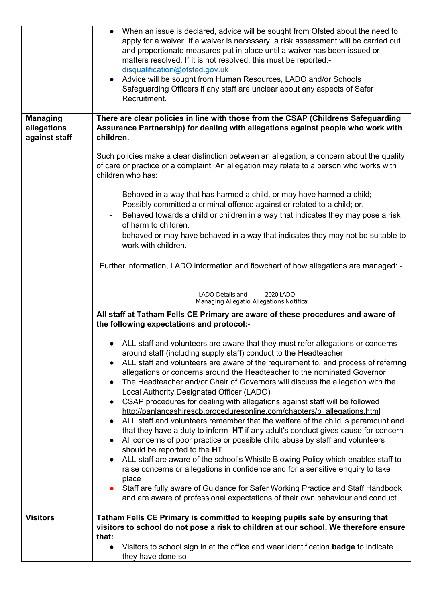|                                                 | When an issue is declared, advice will be sought from Ofsted about the need to<br>apply for a waiver. If a waiver is necessary, a risk assessment will be carried out<br>and proportionate measures put in place until a waiver has been issued or<br>matters resolved. If it is not resolved, this must be reported:-<br>disqualification@ofsted.gov.uk<br>• Advice will be sought from Human Resources, LADO and/or Schools<br>Safeguarding Officers if any staff are unclear about any aspects of Safer<br>Recruitment.                                                                                                                                                                                                                                                                                                                                                                                                    |  |  |  |
|-------------------------------------------------|-------------------------------------------------------------------------------------------------------------------------------------------------------------------------------------------------------------------------------------------------------------------------------------------------------------------------------------------------------------------------------------------------------------------------------------------------------------------------------------------------------------------------------------------------------------------------------------------------------------------------------------------------------------------------------------------------------------------------------------------------------------------------------------------------------------------------------------------------------------------------------------------------------------------------------|--|--|--|
| <b>Managing</b><br>allegations<br>against staff | There are clear policies in line with those from the CSAP (Childrens Safeguarding<br>Assurance Partnership) for dealing with allegations against people who work with<br>children.                                                                                                                                                                                                                                                                                                                                                                                                                                                                                                                                                                                                                                                                                                                                            |  |  |  |
|                                                 | Such policies make a clear distinction between an allegation, a concern about the quality<br>of care or practice or a complaint. An allegation may relate to a person who works with<br>children who has:                                                                                                                                                                                                                                                                                                                                                                                                                                                                                                                                                                                                                                                                                                                     |  |  |  |
|                                                 | Behaved in a way that has harmed a child, or may have harmed a child;<br>$\blacksquare$<br>Possibly committed a criminal offence against or related to a child; or.<br>$\blacksquare$<br>Behaved towards a child or children in a way that indicates they may pose a risk<br>$\blacksquare$<br>of harm to children.<br>behaved or may have behaved in a way that indicates they may not be suitable to                                                                                                                                                                                                                                                                                                                                                                                                                                                                                                                        |  |  |  |
|                                                 | work with children.<br>Further information, LADO information and flowchart of how allegations are managed: -                                                                                                                                                                                                                                                                                                                                                                                                                                                                                                                                                                                                                                                                                                                                                                                                                  |  |  |  |
|                                                 | LADO Details and<br>2020 LADO<br>Managing Allegatio Allegations Notifica<br>All staff at Tatham Fells CE Primary are aware of these procedures and aware of<br>the following expectations and protocol:-                                                                                                                                                                                                                                                                                                                                                                                                                                                                                                                                                                                                                                                                                                                      |  |  |  |
|                                                 |                                                                                                                                                                                                                                                                                                                                                                                                                                                                                                                                                                                                                                                                                                                                                                                                                                                                                                                               |  |  |  |
|                                                 | ALL staff and volunteers are aware that they must refer allegations or concerns<br>around staff (including supply staff) conduct to the Headteacher<br>ALL staff and volunteers are aware of the requirement to, and process of referring<br>$\bullet$<br>allegations or concerns around the Headteacher to the nominated Governor<br>The Headteacher and/or Chair of Governors will discuss the allegation with the<br>$\bullet$<br>Local Authority Designated Officer (LADO)<br>CSAP procedures for dealing with allegations against staff will be followed<br>$\bullet$<br>http://panlancashirescb.proceduresonline.com/chapters/p_allegations.html<br>ALL staff and volunteers remember that the welfare of the child is paramount and<br>$\bullet$<br>that they have a duty to inform HT if any adult's conduct gives cause for concern<br>All concerns of poor practice or possible child abuse by staff and volunteers |  |  |  |
|                                                 | should be reported to the HT.<br>ALL staff are aware of the school's Whistle Blowing Policy which enables staff to<br>$\bullet$<br>raise concerns or allegations in confidence and for a sensitive enquiry to take<br>place<br>Staff are fully aware of Guidance for Safer Working Practice and Staff Handbook<br>and are aware of professional expectations of their own behaviour and conduct.                                                                                                                                                                                                                                                                                                                                                                                                                                                                                                                              |  |  |  |
| <b>Visitors</b>                                 | Tatham Fells CE Primary is committed to keeping pupils safe by ensuring that<br>visitors to school do not pose a risk to children at our school. We therefore ensure                                                                                                                                                                                                                                                                                                                                                                                                                                                                                                                                                                                                                                                                                                                                                          |  |  |  |
|                                                 | that:<br>Visitors to school sign in at the office and wear identification <b>badge</b> to indicate<br>$\bullet$<br>they have done so                                                                                                                                                                                                                                                                                                                                                                                                                                                                                                                                                                                                                                                                                                                                                                                          |  |  |  |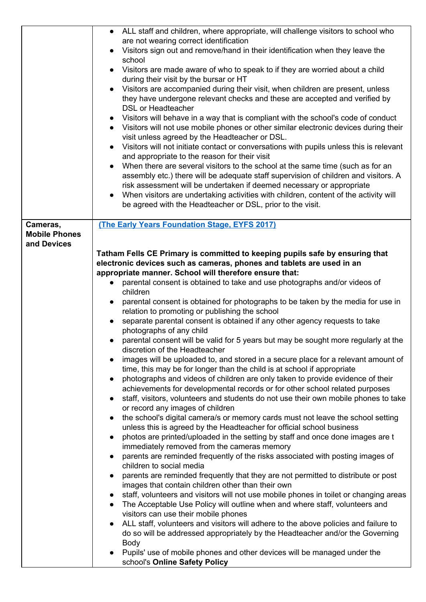|                                                 | • ALL staff and children, where appropriate, will challenge visitors to school who<br>are not wearing correct identification<br>Visitors sign out and remove/hand in their identification when they leave the<br>school<br>Visitors are made aware of who to speak to if they are worried about a child<br>$\bullet$<br>during their visit by the bursar or HT<br>Visitors are accompanied during their visit, when children are present, unless<br>they have undergone relevant checks and these are accepted and verified by<br><b>DSL or Headteacher</b><br>Visitors will behave in a way that is compliant with the school's code of conduct<br>• Visitors will not use mobile phones or other similar electronic devices during their<br>visit unless agreed by the Headteacher or DSL.<br>• Visitors will not initiate contact or conversations with pupils unless this is relevant<br>and appropriate to the reason for their visit<br>When there are several visitors to the school at the same time (such as for an<br>assembly etc.) there will be adequate staff supervision of children and visitors. A<br>risk assessment will be undertaken if deemed necessary or appropriate<br>When visitors are undertaking activities with children, content of the activity will<br>$\bullet$<br>be agreed with the Headteacher or DSL, prior to the visit.                                                                                                                                                                                                                                                                                                                                                                                                                                                                                                                                                                                                                                                                                                                                                                                                                                                                                                                                                                                                               |  |
|-------------------------------------------------|-------------------------------------------------------------------------------------------------------------------------------------------------------------------------------------------------------------------------------------------------------------------------------------------------------------------------------------------------------------------------------------------------------------------------------------------------------------------------------------------------------------------------------------------------------------------------------------------------------------------------------------------------------------------------------------------------------------------------------------------------------------------------------------------------------------------------------------------------------------------------------------------------------------------------------------------------------------------------------------------------------------------------------------------------------------------------------------------------------------------------------------------------------------------------------------------------------------------------------------------------------------------------------------------------------------------------------------------------------------------------------------------------------------------------------------------------------------------------------------------------------------------------------------------------------------------------------------------------------------------------------------------------------------------------------------------------------------------------------------------------------------------------------------------------------------------------------------------------------------------------------------------------------------------------------------------------------------------------------------------------------------------------------------------------------------------------------------------------------------------------------------------------------------------------------------------------------------------------------------------------------------------------------------------------------------------------------------------------------------------------------|--|
| Cameras,<br><b>Mobile Phones</b><br>and Devices | (The Early Years Foundation Stage, EYFS 2017)<br>Tatham Fells CE Primary is committed to keeping pupils safe by ensuring that<br>electronic devices such as cameras, phones and tablets are used in an<br>appropriate manner. School will therefore ensure that:<br>parental consent is obtained to take and use photographs and/or videos of<br>children<br>parental consent is obtained for photographs to be taken by the media for use in<br>$\bullet$<br>relation to promoting or publishing the school<br>separate parental consent is obtained if any other agency requests to take<br>$\bullet$<br>photographs of any child<br>parental consent will be valid for 5 years but may be sought more regularly at the<br>$\bullet$<br>discretion of the Headteacher<br>images will be uploaded to, and stored in a secure place for a relevant amount of<br>time, this may be for longer than the child is at school if appropriate<br>photographs and videos of children are only taken to provide evidence of their<br>$\bullet$<br>achievements for developmental records or for other school related purposes<br>staff, visitors, volunteers and students do not use their own mobile phones to take<br>$\bullet$<br>or record any images of children<br>the school's digital camera/s or memory cards must not leave the school setting<br>$\bullet$<br>unless this is agreed by the Headteacher for official school business<br>photos are printed/uploaded in the setting by staff and once done images are t<br>$\bullet$<br>immediately removed from the cameras memory<br>parents are reminded frequently of the risks associated with posting images of<br>$\bullet$<br>children to social media<br>parents are reminded frequently that they are not permitted to distribute or post<br>images that contain children other than their own<br>staff, volunteers and visitors will not use mobile phones in toilet or changing areas<br>The Acceptable Use Policy will outline when and where staff, volunteers and<br>visitors can use their mobile phones<br>ALL staff, volunteers and visitors will adhere to the above policies and failure to<br>do so will be addressed appropriately by the Headteacher and/or the Governing<br><b>Body</b><br>Pupils' use of mobile phones and other devices will be managed under the<br>school's Online Safety Policy |  |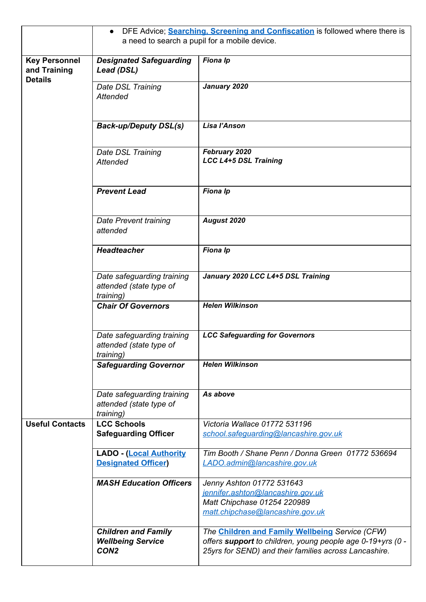|                                                        | DFE Advice; Searching, Screening and Confiscation is followed where there is<br>$\bullet$ |                                                                                                                                                                               |  |
|--------------------------------------------------------|-------------------------------------------------------------------------------------------|-------------------------------------------------------------------------------------------------------------------------------------------------------------------------------|--|
|                                                        | a need to search a pupil for a mobile device.                                             |                                                                                                                                                                               |  |
| <b>Key Personnel</b><br>and Training<br><b>Details</b> | <b>Designated Safeguarding</b><br>Lead (DSL)                                              | <b>Fiona Ip</b>                                                                                                                                                               |  |
|                                                        | Date DSL Training<br><b>Attended</b>                                                      | January 2020                                                                                                                                                                  |  |
|                                                        | <b>Back-up/Deputy DSL(s)</b>                                                              | Lisa l'Anson                                                                                                                                                                  |  |
|                                                        | Date DSL Training<br>Attended                                                             | February 2020<br><b>LCC L4+5 DSL Training</b>                                                                                                                                 |  |
|                                                        | <b>Prevent Lead</b>                                                                       | Fiona Ip                                                                                                                                                                      |  |
|                                                        | Date Prevent training<br>attended                                                         | August 2020                                                                                                                                                                   |  |
|                                                        | <b>Headteacher</b>                                                                        | Fiona Ip                                                                                                                                                                      |  |
|                                                        | Date safeguarding training<br>attended (state type of<br>training)                        | January 2020 LCC L4+5 DSL Training                                                                                                                                            |  |
|                                                        | <b>Chair Of Governors</b>                                                                 | <b>Helen Wilkinson</b>                                                                                                                                                        |  |
|                                                        | Date safeguarding training<br>attended (state type of<br><i>training</i> )                | <b>LCC Safeguarding for Governors</b>                                                                                                                                         |  |
|                                                        | <b>Safeguarding Governor</b>                                                              | <b>Helen Wilkinson</b>                                                                                                                                                        |  |
|                                                        | Date safeguarding training<br>attended (state type of<br>training)                        | As above                                                                                                                                                                      |  |
| <b>Useful Contacts</b>                                 | <b>LCC Schools</b><br><b>Safeguarding Officer</b>                                         | Victoria Wallace 01772 531196<br>school.safequarding@lancashire.gov.uk                                                                                                        |  |
|                                                        | <b>LADO - (Local Authority</b><br><b>Designated Officer</b> )                             | Tim Booth / Shane Penn / Donna Green 01772 536694<br>LADO.admin@lancashire.gov.uk                                                                                             |  |
|                                                        | <b>MASH Education Officers</b>                                                            | Jenny Ashton 01772 531643<br>jennifer.ashton@lancashire.gov.uk<br>Matt Chipchase 01254 220989<br>matt.chipchase@lancashire.gov.uk                                             |  |
|                                                        | <b>Children and Family</b><br><b>Wellbeing Service</b><br>CON <sub>2</sub>                | The <b>Children and Family Wellbeing</b> Service (CFW)<br>offers support to children, young people age 0-19+yrs (0 -<br>25yrs for SEND) and their families across Lancashire. |  |